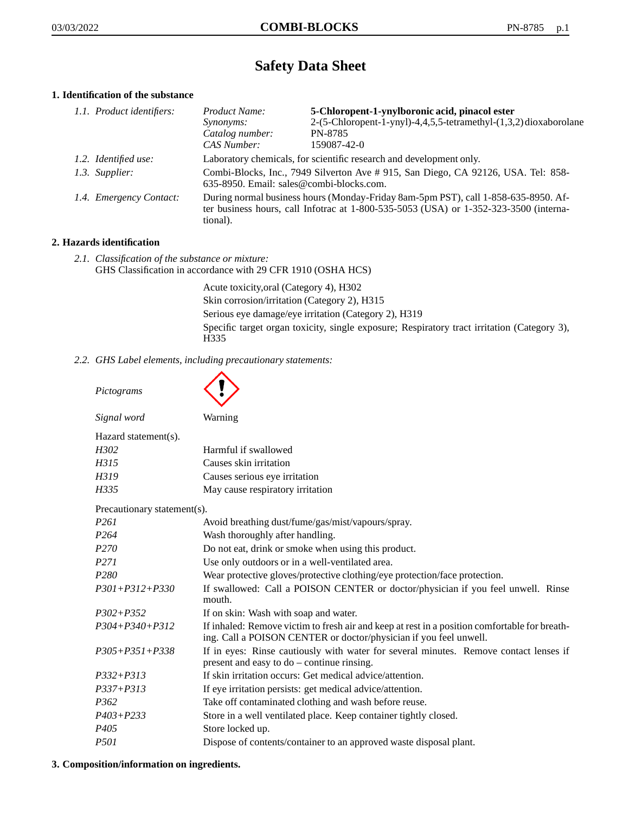# **Safety Data Sheet**

# **1. Identification of the substance**

| 1.1. Product identifiers: | Product Name:                                                                                                                                                                               | 5-Chloropent-1-ynylboronic acid, pinacol ester                      |  |
|---------------------------|---------------------------------------------------------------------------------------------------------------------------------------------------------------------------------------------|---------------------------------------------------------------------|--|
|                           | <i>Synonyms:</i>                                                                                                                                                                            | 2-(5-Chloropent-1-ynyl)-4,4,5,5-tetramethyl-(1,3,2)dioxaborolane    |  |
|                           | Catalog number:                                                                                                                                                                             | <b>PN-8785</b>                                                      |  |
|                           | CAS Number:                                                                                                                                                                                 | 159087-42-0                                                         |  |
| 1.2. Identified use:      |                                                                                                                                                                                             | Laboratory chemicals, for scientific research and development only. |  |
| 1.3. Supplier:            | Combi-Blocks, Inc., 7949 Silverton Ave #915, San Diego, CA 92126, USA. Tel: 858-<br>$635-8950$ . Email: sales@combi-blocks.com.                                                             |                                                                     |  |
| 1.4. Emergency Contact:   | During normal business hours (Monday-Friday 8am-5pm PST), call 1-858-635-8950. Af-<br>ter business hours, call Infotrac at $1-800-535-5053$ (USA) or $1-352-323-3500$ (interna-<br>tional). |                                                                     |  |

# **2. Hazards identification**

*2.1. Classification of the substance or mixture:* GHS Classification in accordance with 29 CFR 1910 (OSHA HCS)

> Acute toxicity,oral (Category 4), H302 Skin corrosion/irritation (Category 2), H315 Serious eye damage/eye irritation (Category 2), H319 Specific target organ toxicity, single exposure; Respiratory tract irritation (Category 3), H335

*2.2. GHS Label elements, including precautionary statements:*

| Pictograms                  |                                                                                                                                                                    |  |
|-----------------------------|--------------------------------------------------------------------------------------------------------------------------------------------------------------------|--|
| Signal word                 | Warning                                                                                                                                                            |  |
| Hazard statement(s).        |                                                                                                                                                                    |  |
| H302                        | Harmful if swallowed                                                                                                                                               |  |
| H315                        | Causes skin irritation                                                                                                                                             |  |
| H319                        | Causes serious eye irritation                                                                                                                                      |  |
| H335                        | May cause respiratory irritation                                                                                                                                   |  |
| Precautionary statement(s). |                                                                                                                                                                    |  |
| P <sub>261</sub>            | Avoid breathing dust/fume/gas/mist/vapours/spray.                                                                                                                  |  |
| P <sub>264</sub>            | Wash thoroughly after handling.                                                                                                                                    |  |
| P <sub>270</sub>            | Do not eat, drink or smoke when using this product.                                                                                                                |  |
| P <sub>271</sub>            | Use only outdoors or in a well-ventilated area.                                                                                                                    |  |
| P <sub>280</sub>            | Wear protective gloves/protective clothing/eye protection/face protection.                                                                                         |  |
| $P301 + P312 + P330$        | If swallowed: Call a POISON CENTER or doctor/physician if you feel unwell. Rinse<br>mouth.                                                                         |  |
| $P302 + P352$               | If on skin: Wash with soap and water.                                                                                                                              |  |
| P304+P340+P312              | If inhaled: Remove victim to fresh air and keep at rest in a position comfortable for breath-<br>ing. Call a POISON CENTER or doctor/physician if you feel unwell. |  |
| $P305 + P351 + P338$        | If in eyes: Rinse cautiously with water for several minutes. Remove contact lenses if<br>present and easy to do – continue rinsing.                                |  |
| $P332 + P313$               | If skin irritation occurs: Get medical advice/attention.                                                                                                           |  |
| $P337 + P313$               | If eye irritation persists: get medical advice/attention.                                                                                                          |  |
| P <sub>362</sub>            | Take off contaminated clothing and wash before reuse.                                                                                                              |  |
| $P403 + P233$               | Store in a well ventilated place. Keep container tightly closed.                                                                                                   |  |
| P <sub>405</sub>            | Store locked up.                                                                                                                                                   |  |
| <i>P501</i>                 | Dispose of contents/container to an approved waste disposal plant.                                                                                                 |  |

#### **3. Composition/information on ingredients.**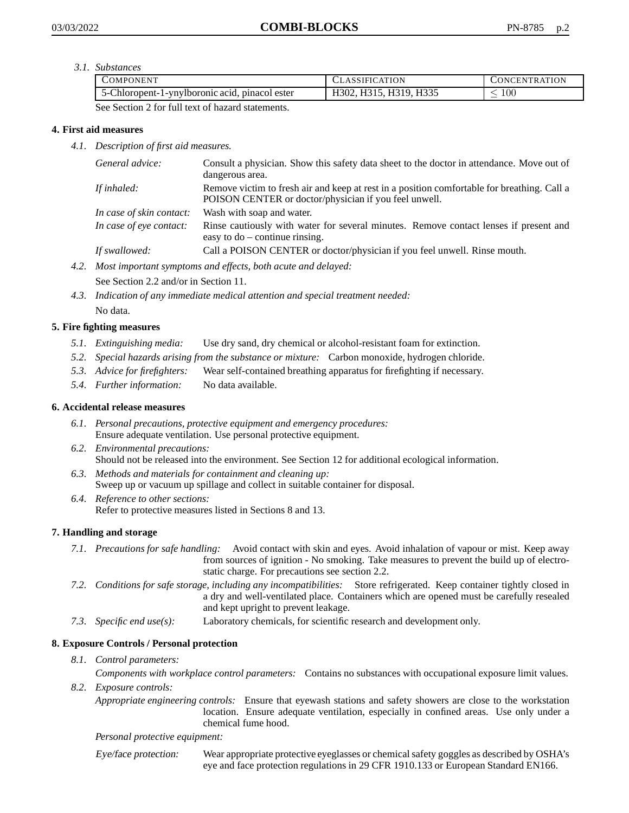*3.1. Substances*

| OMPONEN'I                                                                                                                                                                                        | ATION<br>CLASSIFICAT                            | ATION<br>JNCENTRAT |
|--------------------------------------------------------------------------------------------------------------------------------------------------------------------------------------------------|-------------------------------------------------|--------------------|
| . pinacol ester<br>Chloropent-1-ynylboromic acid,<br>ו-ר                                                                                                                                         | H335<br>H310<br><sup>1302.</sup><br><b>H3I5</b> | 100<br>__          |
| the contract of the contract of<br>the contract of the contract of the<br>the contract of the contract of the<br>the contract of the contract of the contract of the contract of the contract of |                                                 |                    |

See Section 2 for full text of hazard statements.

# **4. First aid measures**

*4.1. Description of first aid measures.*

| General advice:          | Consult a physician. Show this safety data sheet to the doctor in attendance. Move out of<br>dangerous area.                                         |
|--------------------------|------------------------------------------------------------------------------------------------------------------------------------------------------|
| If inhaled:              | Remove victim to fresh air and keep at rest in a position comfortable for breathing. Call a<br>POISON CENTER or doctor/physician if you feel unwell. |
| In case of skin contact: | Wash with soap and water.                                                                                                                            |
| In case of eye contact:  | Rinse cautiously with water for several minutes. Remove contact lenses if present and<br>easy to $do$ – continue rinsing.                            |
| If swallowed:            | Call a POISON CENTER or doctor/physician if you feel unwell. Rinse mouth.                                                                            |

*4.2. Most important symptoms and effects, both acute and delayed:*

See Section 2.2 and/or in Section 11.

*4.3. Indication of any immediate medical attention and special treatment needed:* No data.

# **5. Fire fighting measures**

- *5.1. Extinguishing media:* Use dry sand, dry chemical or alcohol-resistant foam for extinction.
- *5.2. Special hazards arising from the substance or mixture:* Carbon monoxide, hydrogen chloride.
- *5.3. Advice for firefighters:* Wear self-contained breathing apparatus for firefighting if necessary.
- *5.4. Further information:* No data available.

#### **6. Accidental release measures**

- *6.1. Personal precautions, protective equipment and emergency procedures:* Ensure adequate ventilation. Use personal protective equipment.
- *6.2. Environmental precautions:* Should not be released into the environment. See Section 12 for additional ecological information.
- *6.3. Methods and materials for containment and cleaning up:* Sweep up or vacuum up spillage and collect in suitable container for disposal.
- *6.4. Reference to other sections:* Refer to protective measures listed in Sections 8 and 13.

# **7. Handling and storage**

- *7.1. Precautions for safe handling:* Avoid contact with skin and eyes. Avoid inhalation of vapour or mist. Keep away from sources of ignition - No smoking. Take measures to prevent the build up of electrostatic charge. For precautions see section 2.2.
- *7.2. Conditions for safe storage, including any incompatibilities:* Store refrigerated. Keep container tightly closed in a dry and well-ventilated place. Containers which are opened must be carefully resealed and kept upright to prevent leakage.
- *7.3. Specific end use(s):* Laboratory chemicals, for scientific research and development only.

# **8. Exposure Controls / Personal protection**

*8.1. Control parameters:*

*Components with workplace control parameters:* Contains no substances with occupational exposure limit values.

*8.2. Exposure controls:*

*Appropriate engineering controls:* Ensure that eyewash stations and safety showers are close to the workstation location. Ensure adequate ventilation, especially in confined areas. Use only under a chemical fume hood.

#### *Personal protective equipment:*

Eye/face protection: Wear appropriate protective eyeglasses or chemical safety goggles as described by OSHA's eye and face protection regulations in 29 CFR 1910.133 or European Standard EN166.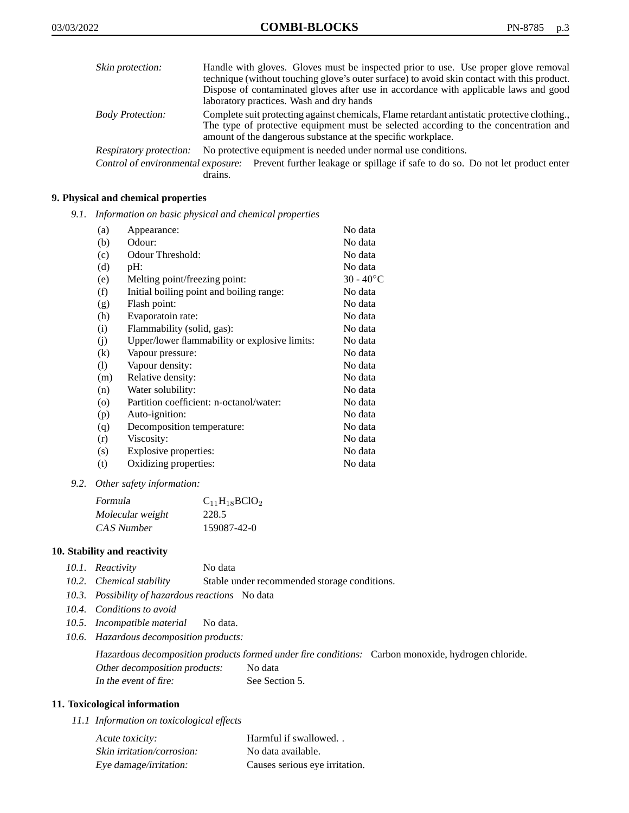| Skin protection:        | Handle with gloves. Gloves must be inspected prior to use. Use proper glove removal<br>technique (without touching glove's outer surface) to avoid skin contact with this product.                                                                  |
|-------------------------|-----------------------------------------------------------------------------------------------------------------------------------------------------------------------------------------------------------------------------------------------------|
|                         | Dispose of contaminated gloves after use in accordance with applicable laws and good<br>laboratory practices. Wash and dry hands                                                                                                                    |
| <b>Body Protection:</b> | Complete suit protecting against chemicals, Flame retardant antistatic protective clothing.<br>The type of protective equipment must be selected according to the concentration and<br>amount of the dangerous substance at the specific workplace. |
| Respiratory protection: | No protective equipment is needed under normal use conditions.                                                                                                                                                                                      |
|                         | Control of environmental exposure: Prevent further leakage or spillage if safe to do so. Do not let product enter<br>drains.                                                                                                                        |

# **9. Physical and chemical properties**

*9.1. Information on basic physical and chemical properties*

| (a)     | Appearance:                                   | No data            |
|---------|-----------------------------------------------|--------------------|
| (b)     | Odour:                                        | No data            |
| (c)     | Odour Threshold:                              | No data            |
| (d)     | pH:                                           | No data            |
| (e)     | Melting point/freezing point:                 | $30 - 40^{\circ}C$ |
| (f)     | Initial boiling point and boiling range:      | No data            |
| (g)     | Flash point:                                  | No data            |
| (h)     | Evaporatoin rate:                             | No data            |
| (i)     | Flammability (solid, gas):                    | No data            |
| (j)     | Upper/lower flammability or explosive limits: | No data            |
| (k)     | Vapour pressure:                              | No data            |
| (1)     | Vapour density:                               | No data            |
| (m)     | Relative density:                             | No data            |
| (n)     | Water solubility:                             | No data            |
| $\circ$ | Partition coefficient: n-octanol/water:       | No data            |
| (p)     | Auto-ignition:                                | No data            |
| (q)     | Decomposition temperature:                    | No data            |
| (r)     | Viscosity:                                    | No data            |
| (s)     | Explosive properties:                         | No data            |
| (t)     | Oxidizing properties:                         | No data            |

*9.2. Other safety information:*

| Formula          | $C_{11}H_{18}BClO_2$ |
|------------------|----------------------|
| Molecular weight | 228.5                |
| CAS Number       | 159087-42-0          |

## **10. Stability and reactivity**

| 10.1. Reactivity | No data |
|------------------|---------|
|                  |         |

- *10.2. Chemical stability* Stable under recommended storage conditions.
- *10.3. Possibility of hazardous reactions* No data
- *10.4. Conditions to avoid*
- *10.5. Incompatible material* No data.
- *10.6. Hazardous decomposition products:*

Hazardous decomposition products formed under fire conditions: Carbon monoxide, hydrogen chloride. Other decomposition products: No data In the event of fire: See Section 5.

#### **11. Toxicological information**

*11.1 Information on toxicological effects*

| Acute toxicity:            | Harmful if swallowed           |
|----------------------------|--------------------------------|
| Skin irritation/corrosion: | No data available.             |
| Eye damage/irritation:     | Causes serious eye irritation. |